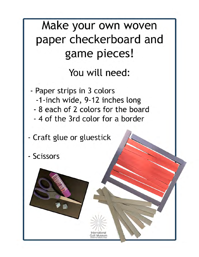# Make your own woven paper checkerboard and game pieces! You will need: - Paper strips in 3 colors

- -1-inch wide, 9-12 inches long
- 8 each of 2 colors for the board

hternationa Quilt Museum

- 4 of the 3rd color for a border
- Craft glue or gluestick
- Scissors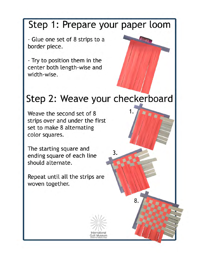#### Step 1: Prepare your paper loom

- Glue one set of 8 strips to a border piece.

- Try to position them in the center both length-wise and width-wise.

### Step 2: Weave your checkerboard

3.

8.

Weave the second set of 8 strips over and under the first set to make 8 alternating color squares.

The starting square and ending square of each line should alternate.

Repeat until all the strips are woven together.

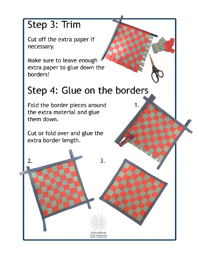### Step 3: Trim

Cut off the extra paper if necessary.

Make sure to leave enough extra paper to glue down the borders!

## Step 4: Glue on the borders

3.

International **Quilt Museum**   $\mathbf{1}$ 

Fold the border pieces around the extra material and glue them down.

Cut or fold over and glue the extra border length.